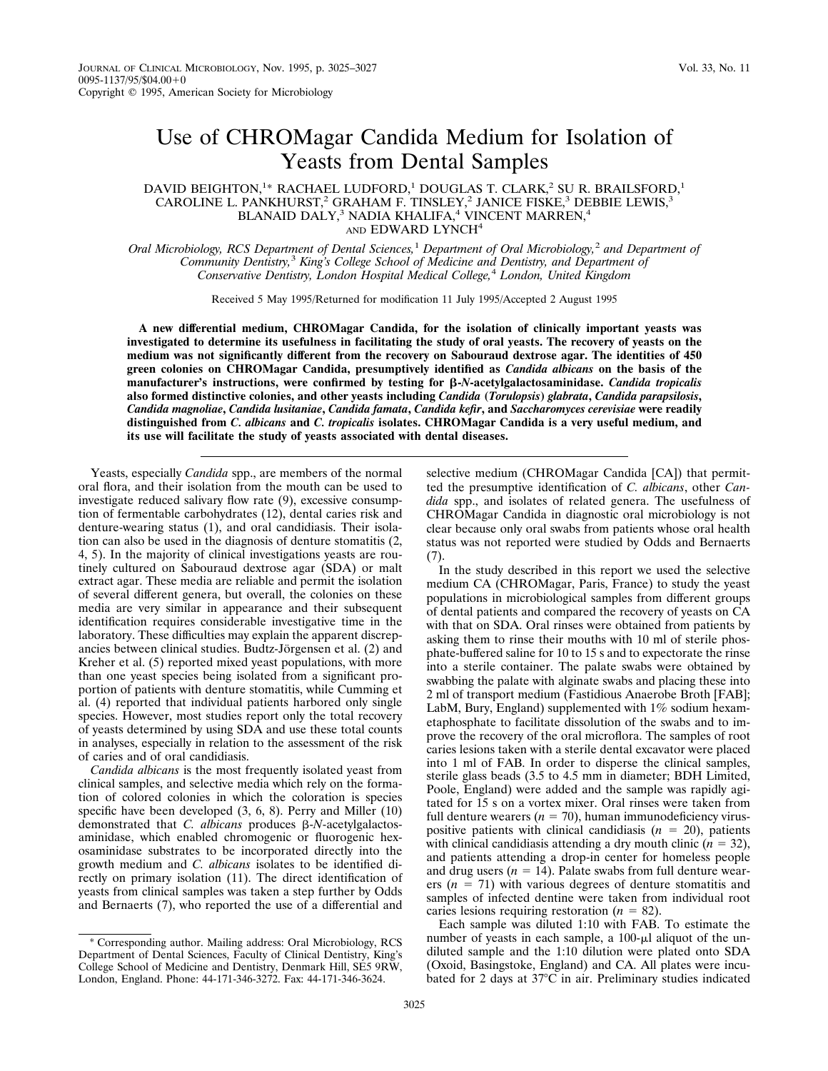## Use of CHROMagar Candida Medium for Isolation of Yeasts from Dental Samples

## DAVID BEIGHTON,<sup>1\*</sup> RACHAEL LUDFORD,<sup>1</sup> DOUGLAS T. CLARK,<sup>2</sup> SU R. BRAILSFORD,<sup>1</sup> CAROLINE L. PANKHURST,<sup>2</sup> GRAHAM F. TINSLEY,<sup>2</sup> JANICE FISKE,<sup>3</sup> DEBBIE LEWIS,<sup>3</sup> BLANAID DALY,<sup>3</sup> NADIA KHALIFA,<sup>4</sup> VINCENT MARREN,<sup>4</sup> AND EDWARD LYNCH<sup>4</sup>

*Oral Microbiology, RCS Department of Dental Sciences,*<sup>1</sup> *Department of Oral Microbiology,*<sup>2</sup> *and Department of Community Dentistry,*<sup>3</sup> *King's College School of Medicine and Dentistry, and Department of Conservative Dentistry, London Hospital Medical College,*<sup>4</sup> *London, United Kingdom*

Received 5 May 1995/Returned for modification 11 July 1995/Accepted 2 August 1995

**A new differential medium, CHROMagar Candida, for the isolation of clinically important yeasts was investigated to determine its usefulness in facilitating the study of oral yeasts. The recovery of yeasts on the medium was not significantly different from the recovery on Sabouraud dextrose agar. The identities of 450 green colonies on CHROMagar Candida, presumptively identified as** *Candida albicans* **on the basis of the manufacturer's instructions, were confirmed by testing for** b**-***N***-acetylgalactosaminidase.** *Candida tropicalis* **also formed distinctive colonies, and other yeasts including** *Candida* **(***Torulopsis***)** *glabrata***,** *Candida parapsilosis***,** *Candida magnoliae***,** *Candida lusitaniae***,** *Candida famata***,** *Candida kefir***, and** *Saccharomyces cerevisiae* **were readily distinguished from** *C. albicans* **and** *C. tropicalis* **isolates. CHROMagar Candida is a very useful medium, and its use will facilitate the study of yeasts associated with dental diseases.**

Yeasts, especially *Candida* spp., are members of the normal oral flora, and their isolation from the mouth can be used to investigate reduced salivary flow rate (9), excessive consumption of fermentable carbohydrates (12), dental caries risk and denture-wearing status (1), and oral candidiasis. Their isolation can also be used in the diagnosis of denture stomatitis (2, 4, 5). In the majority of clinical investigations yeasts are routinely cultured on Sabouraud dextrose agar (SDA) or malt extract agar. These media are reliable and permit the isolation of several different genera, but overall, the colonies on these media are very similar in appearance and their subsequent identification requires considerable investigative time in the laboratory. These difficulties may explain the apparent discrepancies between clinical studies. Budtz-Jörgensen et al. (2) and Kreher et al. (5) reported mixed yeast populations, with more than one yeast species being isolated from a significant proportion of patients with denture stomatitis, while Cumming et al. (4) reported that individual patients harbored only single species. However, most studies report only the total recovery of yeasts determined by using SDA and use these total counts in analyses, especially in relation to the assessment of the risk of caries and of oral candidiasis.

*Candida albicans* is the most frequently isolated yeast from clinical samples, and selective media which rely on the formation of colored colonies in which the coloration is species specific have been developed (3, 6, 8). Perry and Miller (10) demonstrated that *C. albicans* produces  $\beta$ -*N*-acetylgalactosaminidase, which enabled chromogenic or fluorogenic hexosaminidase substrates to be incorporated directly into the growth medium and *C. albicans* isolates to be identified directly on primary isolation (11). The direct identification of yeasts from clinical samples was taken a step further by Odds and Bernaerts (7), who reported the use of a differential and

selective medium (CHROMagar Candida [CA]) that permitted the presumptive identification of *C. albicans*, other *Candida* spp., and isolates of related genera. The usefulness of CHROMagar Candida in diagnostic oral microbiology is not clear because only oral swabs from patients whose oral health status was not reported were studied by Odds and Bernaerts (7).

In the study described in this report we used the selective medium CA (CHROMagar, Paris, France) to study the yeast populations in microbiological samples from different groups of dental patients and compared the recovery of yeasts on CA with that on SDA. Oral rinses were obtained from patients by asking them to rinse their mouths with 10 ml of sterile phosphate-buffered saline for 10 to 15 s and to expectorate the rinse into a sterile container. The palate swabs were obtained by swabbing the palate with alginate swabs and placing these into 2 ml of transport medium (Fastidious Anaerobe Broth [FAB]; LabM, Bury, England) supplemented with 1% sodium hexametaphosphate to facilitate dissolution of the swabs and to improve the recovery of the oral microflora. The samples of root caries lesions taken with a sterile dental excavator were placed into 1 ml of FAB. In order to disperse the clinical samples, sterile glass beads (3.5 to 4.5 mm in diameter; BDH Limited, Poole, England) were added and the sample was rapidly agitated for 15 s on a vortex mixer. Oral rinses were taken from full denture wearers  $(n = 70)$ , human immunodeficiency viruspositive patients with clinical candidiasis  $(n = 20)$ , patients with clinical candidiasis attending a dry mouth clinic  $(n = 32)$ , and patients attending a drop-in center for homeless people and drug users  $(n = 14)$ . Palate swabs from full denture wearers  $(n = 71)$  with various degrees of denture stomatitis and samples of infected dentine were taken from individual root caries lesions requiring restoration  $(n = 82)$ .

Each sample was diluted 1:10 with FAB. To estimate the number of yeasts in each sample, a  $100-\mu l$  aliquot of the undiluted sample and the 1:10 dilution were plated onto SDA (Oxoid, Basingstoke, England) and CA. All plates were incubated for 2 days at  $37^{\circ}$ C in air. Preliminary studies indicated

<sup>\*</sup> Corresponding author. Mailing address: Oral Microbiology, RCS Department of Dental Sciences, Faculty of Clinical Dentistry, King's College School of Medicine and Dentistry, Denmark Hill, SE5 9RW, London, England. Phone: 44-171-346-3272. Fax: 44-171-346-3624.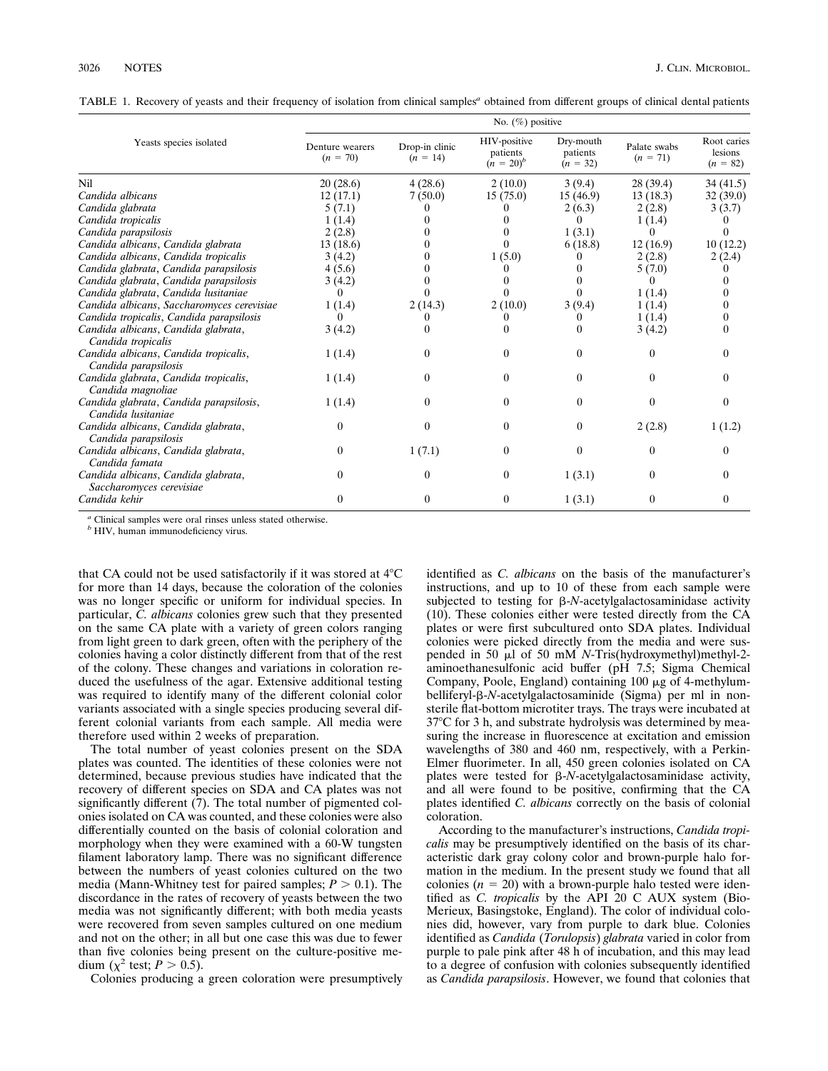TABLE 1. Recovery of yeasts and their frequency of isolation from clinical samples*<sup>a</sup>* obtained from different groups of clinical dental patients

| Yeasts species isolated                                         | No. $(\%)$ positive           |                              |                                          |                                     |                            |                                      |
|-----------------------------------------------------------------|-------------------------------|------------------------------|------------------------------------------|-------------------------------------|----------------------------|--------------------------------------|
|                                                                 | Denture wearers<br>$(n = 70)$ | Drop-in clinic<br>$(n = 14)$ | HIV-positive<br>patients<br>$(n = 20)^b$ | Dry-mouth<br>patients<br>$(n = 32)$ | Palate swabs<br>$(n = 71)$ | Root caries<br>lesions<br>$(n = 82)$ |
| Nil                                                             | 20 (28.6)                     | 4(28.6)                      | 2(10.0)                                  | 3(9.4)                              | 28(39.4)                   | 34(41.5)                             |
| Candida albicans                                                | 12(17.1)                      | 7(50.0)                      | 15(75.0)                                 | 15(46.9)                            | 13(18.3)                   | 32(39.0)                             |
| Candida glabrata                                                | 5(7.1)                        |                              |                                          | 2(6.3)                              | 2(2.8)                     | 3(3.7)                               |
| Candida tropicalis                                              | 1(1.4)                        |                              |                                          | $\theta$                            | 1(1.4)                     |                                      |
| Candida parapsilosis                                            | 2(2.8)                        |                              |                                          | 1(3.1)                              | $^{\circ}$                 |                                      |
| Candida albicans, Candida glabrata                              | 13(18.6)                      |                              |                                          | 6(18.8)                             | 12(16.9)                   | 10(12.2)                             |
| Candida albicans, Candida tropicalis                            | 3(4.2)                        |                              | 1(5.0)                                   |                                     | 2(2.8)                     | 2(2.4)                               |
| Candida glabrata, Candida parapsilosis                          | 4(5.6)                        |                              |                                          |                                     | 5(7.0)                     |                                      |
| Candida glabrata, Candida parapsilosis                          | 3(4.2)                        |                              |                                          |                                     |                            |                                      |
| Candida glabrata, Candida lusitaniae                            | $_{0}$                        |                              |                                          |                                     | 1(1.4)                     |                                      |
| Candida albicans, Saccharomyces cerevisiae                      | 1(1.4)                        | 2(14.3)                      | 2(10.0)                                  | 3(9.4)                              | 1(1.4)                     |                                      |
| Candida tropicalis, Candida parapsilosis                        | 0                             |                              |                                          |                                     | 1(1.4)                     |                                      |
| Candida albicans, Candida glabrata,<br>Candida tropicalis       | 3(4.2)                        |                              | $^{(1)}$                                 |                                     | 3(4.2)                     |                                      |
| Candida albicans, Candida tropicalis,<br>Candida parapsilosis   | 1(1.4)                        | 0                            | 0                                        |                                     | $\theta$                   |                                      |
| Candida glabrata, Candida tropicalis,<br>Candida magnoliae      | 1(1.4)                        | 0                            | 0                                        | 0                                   | 0                          |                                      |
| Candida glabrata, Candida parapsilosis,<br>Candida lusitaniae   | 1(1.4)                        | 0                            | 0                                        | 0                                   | $\Omega$                   |                                      |
| Candida albicans, Candida glabrata,<br>Candida parapsilosis     | $\theta$                      | 0                            | 0                                        | 0                                   | 2(2.8)                     | 1(1.2)                               |
| Candida albicans, Candida glabrata,<br>Candida famata           | $\theta$                      | 1(7.1)                       | $\Omega$                                 | $\Omega$                            | 0                          |                                      |
| Candida albicans, Candida glabrata,<br>Saccharomyces cerevisiae | $\theta$                      | $\Omega$                     | $\theta$                                 | 1(3.1)                              | $\Omega$                   |                                      |
| Candida kehir                                                   | 0                             | $\theta$                     | $\theta$                                 | 1(3.1)                              | $\theta$                   | 0                                    |

*<sup>a</sup>* Clinical samples were oral rinses unless stated otherwise.

*<sup>b</sup>* HIV, human immunodeficiency virus.

that CA could not be used satisfactorily if it was stored at  $4^{\circ}$ C for more than 14 days, because the coloration of the colonies was no longer specific or uniform for individual species. In particular, *C. albicans* colonies grew such that they presented on the same CA plate with a variety of green colors ranging from light green to dark green, often with the periphery of the colonies having a color distinctly different from that of the rest of the colony. These changes and variations in coloration reduced the usefulness of the agar. Extensive additional testing was required to identify many of the different colonial color variants associated with a single species producing several different colonial variants from each sample. All media were therefore used within 2 weeks of preparation.

The total number of yeast colonies present on the SDA plates was counted. The identities of these colonies were not determined, because previous studies have indicated that the recovery of different species on SDA and CA plates was not significantly different (7). The total number of pigmented colonies isolated on CA was counted, and these colonies were also differentially counted on the basis of colonial coloration and morphology when they were examined with a 60-W tungsten filament laboratory lamp. There was no significant difference between the numbers of yeast colonies cultured on the two media (Mann-Whitney test for paired samples;  $P > 0.1$ ). The discordance in the rates of recovery of yeasts between the two media was not significantly different; with both media yeasts were recovered from seven samples cultured on one medium and not on the other; in all but one case this was due to fewer than five colonies being present on the culture-positive medium ( $\chi^2$  test; *P* > 0.5).

Colonies producing a green coloration were presumptively

identified as *C. albicans* on the basis of the manufacturer's instructions, and up to 10 of these from each sample were subjected to testing for  $\beta$ -*N*-acetylgalactosaminidase activity (10). These colonies either were tested directly from the CA plates or were first subcultured onto SDA plates. Individual colonies were picked directly from the media and were suspended in 50  $\mu$ l of 50 mM *N*-Tris(hydroxymethyl)methyl-2aminoethanesulfonic acid buffer (pH 7.5; Sigma Chemical Company, Poole, England) containing  $100 \mu$ g of 4-methylumbelliferyl-b-*N*-acetylgalactosaminide (Sigma) per ml in nonsterile flat-bottom microtiter trays. The trays were incubated at 37°C for 3 h, and substrate hydrolysis was determined by measuring the increase in fluorescence at excitation and emission wavelengths of 380 and 460 nm, respectively, with a Perkin-Elmer fluorimeter. In all, 450 green colonies isolated on CA plates were tested for β-*N*-acetylgalactosaminidase activity, and all were found to be positive, confirming that the CA plates identified *C. albicans* correctly on the basis of colonial coloration.

According to the manufacturer's instructions, *Candida tropicalis* may be presumptively identified on the basis of its characteristic dark gray colony color and brown-purple halo formation in the medium. In the present study we found that all colonies  $(n = 20)$  with a brown-purple halo tested were identified as *C. tropicalis* by the API 20 C AUX system (Bio-Merieux, Basingstoke, England). The color of individual colonies did, however, vary from purple to dark blue. Colonies identified as *Candida* (*Torulopsis*) *glabrata* varied in color from purple to pale pink after 48 h of incubation, and this may lead to a degree of confusion with colonies subsequently identified as *Candida parapsilosis*. However, we found that colonies that